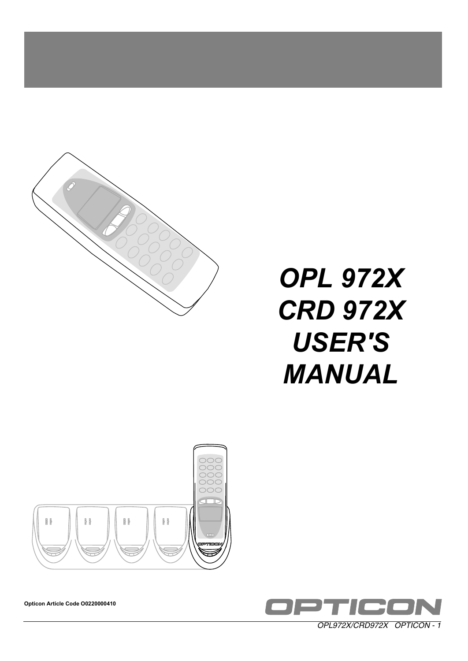

# *OPL 972X CRD 972X USER'S MANUAL*





**Opticon Article Code O0220000410**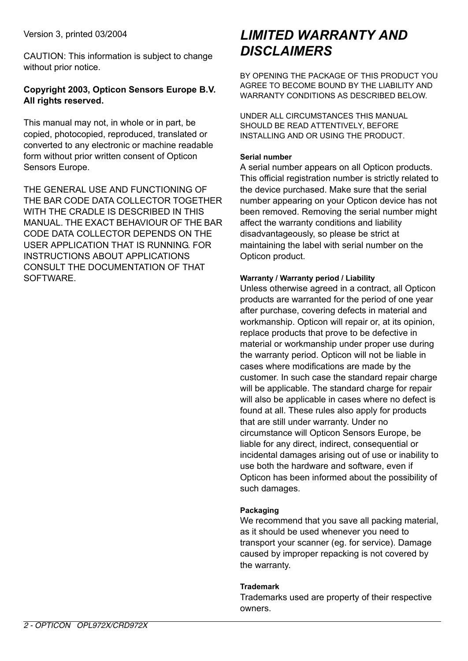Version 3, printed 03/2004

CAUTION: This information is subject to change without prior notice.

## **Copyright 2003, Opticon Sensors Europe B.V. All rights reserved.**

This manual may not, in whole or in part, be copied, photocopied, reproduced, translated or converted to any electronic or machine readable form without prior written consent of Opticon Sensors Europe.

THE GENERAL USE AND FUNCTIONING OF THE BAR CODE DATA COLLECTOR TOGETHER WITH THE CRADLE IS DESCRIBED IN THIS MANUAL. THE EXACT BEHAVIOUR OF THE BAR CODE DATA COLLECTOR DEPENDS ON THE USER APPLICATION THAT IS RUNNING. FOR INSTRUCTIONS ABOUT APPLICATIONS CONSULT THE DOCUMENTATION OF THAT **SOFTWARE** 

## *LIMITED WARRANTY AND DISCLAIMERS*

BY OPENING THE PACKAGE OF THIS PRODUCT YOU AGREE TO BECOME BOUND BY THE LIABILITY AND WARRANTY CONDITIONS AS DESCRIBED BELOW.

UNDER ALL CIRCUMSTANCES THIS MANUAL SHOULD BE READ ATTENTIVELY, BEFORE INSTALLING AND OR USING THE PRODUCT.

#### **Serial number**

A serial number appears on all Opticon products. This official registration number is strictly related to the device purchased. Make sure that the serial number appearing on your Opticon device has not been removed. Removing the serial number might affect the warranty conditions and liability disadvantageously, so please be strict at maintaining the label with serial number on the Opticon product.

#### **Warranty / Warranty period / Liability**

Unless otherwise agreed in a contract, all Opticon products are warranted for the period of one year after purchase, covering defects in material and workmanship. Opticon will repair or, at its opinion, replace products that prove to be defective in material or workmanship under proper use during the warranty period. Opticon will not be liable in cases where modifications are made by the customer. In such case the standard repair charge will be applicable. The standard charge for repair will also be applicable in cases where no defect is found at all. These rules also apply for products that are still under warranty. Under no circumstance will Opticon Sensors Europe, be liable for any direct, indirect, consequential or incidental damages arising out of use or inability to use both the hardware and software, even if Opticon has been informed about the possibility of such damages.

#### **Packaging**

We recommend that you save all packing material, as it should be used whenever you need to transport your scanner (eg. for service). Damage caused by improper repacking is not covered by the warranty.

#### **Trademark**

Trademarks used are property of their respective owners.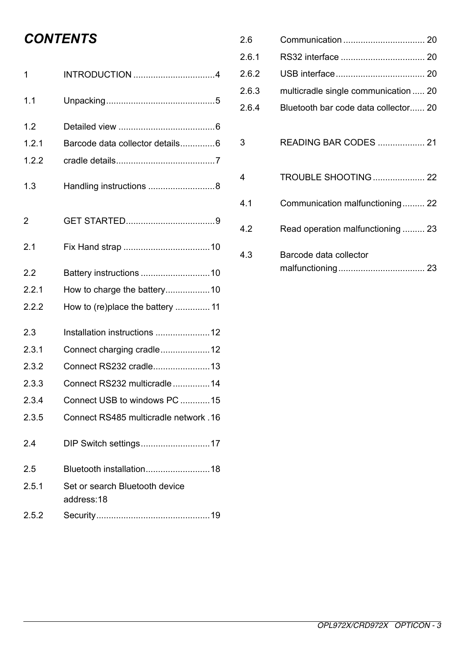# *CONTENTS*

| 1     | INTRODUCTION 4                               |
|-------|----------------------------------------------|
| 1.1   |                                              |
| 1.2   |                                              |
| 1.2.1 | Barcode data collector details6              |
| 1.2.2 |                                              |
| 1.3   | Handling instructions 8                      |
| 2     |                                              |
| 2.1   |                                              |
| 2.2   |                                              |
| 2.2.1 | How to charge the battery10                  |
| 2.2.2 | How to (re)place the battery  11             |
| 2.3   | Installation instructions  12                |
| 2.3.1 | Connect charging cradle12                    |
| 2.3.2 | Connect RS232 cradle13                       |
| 2.3.3 | Connect RS232 multicradle14                  |
| 2.3.4 | Connect USB to windows PC 15                 |
| 2.3.5 | Connect RS485 multicradle network .16        |
| 24    | DIP Switch settings17                        |
| 2.5   | Bluetooth installation 18                    |
| 2.5.1 | Set or search Bluetooth device<br>address:18 |
| 2.5.2 |                                              |

| 2.6   |                                      |
|-------|--------------------------------------|
| 2.6.1 |                                      |
| 2.6.2 |                                      |
| 2.6.3 | multicradle single communication  20 |
| 2.6.4 | Bluetooth bar code data collector 20 |
| 3     | READING BAR CODES  21                |
| 4     | <b>TROUBLE SHOOTING 22</b>           |
| 4.1   | Communication malfunctioning 22      |
| 4.2   | Read operation malfunctioning  23    |
| 4.3   | Barcode data collector               |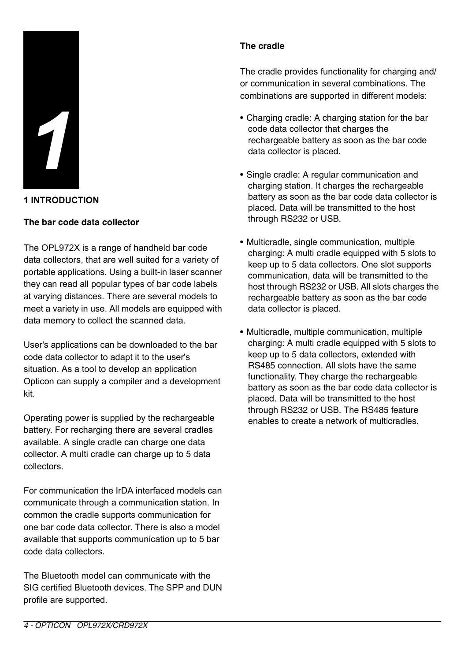

#### **1 INTRODUCTION**

#### **The bar code data collector**

The OPL972X is a range of handheld bar code data collectors, that are well suited for a variety of portable applications. Using a built-in laser scanner they can read all popular types of bar code labels at varying distances. There are several models to meet a variety in use. All models are equipped with data memory to collect the scanned data.

User's applications can be downloaded to the bar code data collector to adapt it to the user's situation. As a tool to develop an application Opticon can supply a compiler and a development kit.

Operating power is supplied by the rechargeable battery. For recharging there are several cradles available. A single cradle can charge one data collector. A multi cradle can charge up to 5 data collectors.

For communication the IrDA interfaced models can communicate through a communication station. In common the cradle supports communication for one bar code data collector. There is also a model available that supports communication up to 5 bar code data collectors.

The Bluetooth model can communicate with the SIG certified Bluetooth devices. The SPP and DUN profile are supported.

#### **The cradle**

The cradle provides functionality for charging and/ or communication in several combinations. The combinations are supported in different models:

- Charging cradle: A charging station for the bar code data collector that charges the rechargeable battery as soon as the bar code data collector is placed.
- Single cradle: A regular communication and charging station. It charges the rechargeable battery as soon as the bar code data collector is placed. Data will be transmitted to the host through RS232 or USB.
- Multicradle, single communication, multiple charging: A multi cradle equipped with 5 slots to keep up to 5 data collectors. One slot supports communication, data will be transmitted to the host through RS232 or USB. All slots charges the rechargeable battery as soon as the bar code data collector is placed.
- Multicradle, multiple communication, multiple charging: A multi cradle equipped with 5 slots to keep up to 5 data collectors, extended with RS485 connection. All slots have the same functionality. They charge the rechargeable battery as soon as the bar code data collector is placed. Data will be transmitted to the host through RS232 or USB. The RS485 feature enables to create a network of multicradles.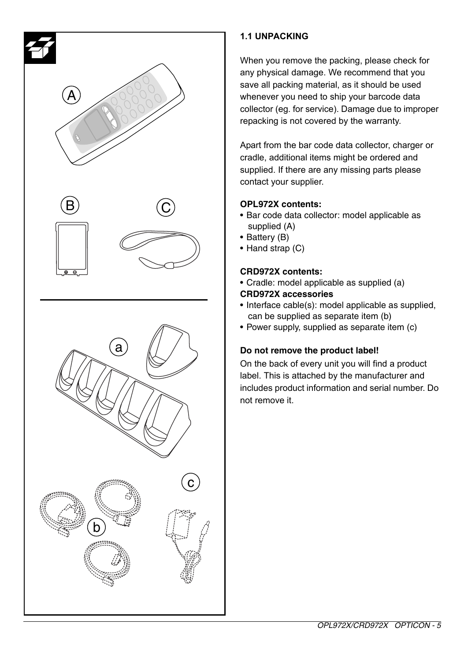

## **1.1 UNPACKING**

When you remove the packing, please check for any physical damage. We recommend that you save all packing material, as it should be used whenever you need to ship your barcode data collector (eg. for service). Damage due to improper repacking is not covered by the warranty.

Apart from the bar code data collector, charger or cradle, additional items might be ordered and supplied. If there are any missing parts please contact your supplier.

## **OPL972X contents:**

- Bar code data collector: model applicable as supplied (A)
- Battery (B)
- Hand strap (C)

## **CRD972X contents:**

- Cradle: model applicable as supplied (a)
- **CRD972X accessories**
- Interface cable(s): model applicable as supplied, can be supplied as separate item (b)
- Power supply, supplied as separate item (c)

## **Do not remove the product label!**

On the back of every unit you will find a product label. This is attached by the manufacturer and includes product information and serial number. Do not remove it.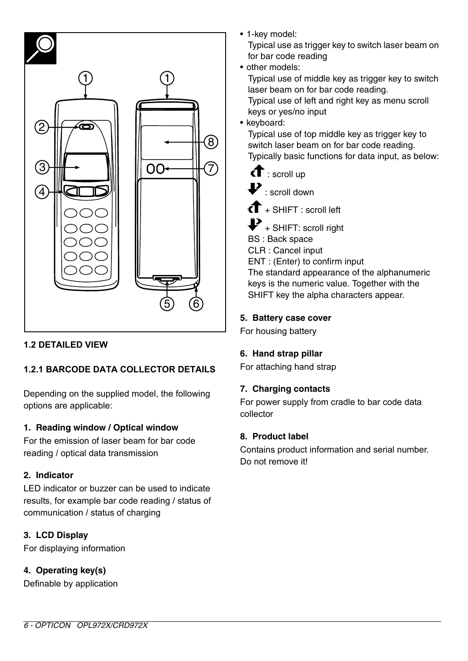

## **1.2 DETAILED VIEW**

## **1.2.1 BARCODE DATA COLLECTOR DETAILS**

Depending on the supplied model, the following options are applicable:

## **1. Reading window / Optical window**

For the emission of laser beam for bar code reading / optical data transmission

## **2. Indicator**

LED indicator or buzzer can be used to indicate results, for example bar code reading / status of communication / status of charging

## **3. LCD Display**

For displaying information

## **4. Operating key(s)**

Definable by application

• 1-key model: Typical use as trigger key to switch laser beam on for bar code reading

- other models:
	- Typical use of middle key as trigger key to switch laser beam on for bar code reading. Typical use of left and right key as menu scroll keys or yes/no input
- keyboard:

Typical use of top middle key as trigger key to switch laser beam on for bar code reading. Typically basic functions for data input, as below:

- $\mathbf{f}$ : scroll up
- $\mathbf{P}_{\text{1} \text{ }\text{scr}}$  scroll down

 $\mathbf{f}$  + SHIFT : scroll left

 $\blacktriangleright$  + SHIFT: scroll right BS : Back space

CLR : Cancel input

ENT : (Enter) to confirm input

The standard appearance of the alphanumeric keys is the numeric value. Together with the SHIFT key the alpha characters appear.

## **5. Battery case cover**

For housing battery

## **6. Hand strap pillar**

For attaching hand strap

## **7. Charging contacts**

For power supply from cradle to bar code data collector

## **8. Product label**

Contains product information and serial number. Do not remove it!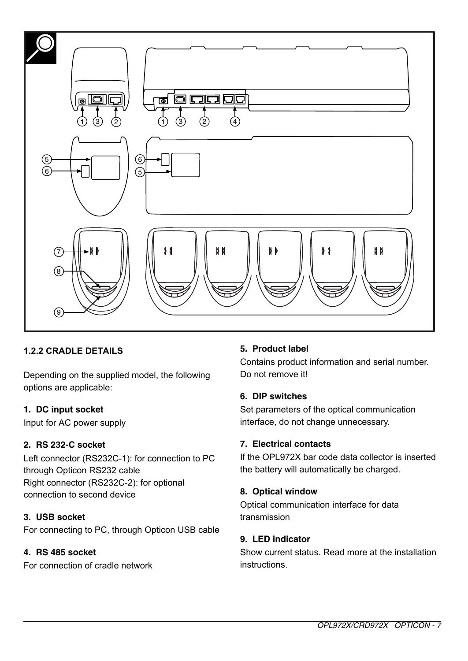

## **1.2.2 CRADLE DETAILS**

Depending on the supplied model, the following options are applicable:

## **1. DC input socket**

Input for AC power supply

## **2. RS 232-C socket**

Left connector (RS232C-1): for connection to PC through Opticon RS232 cable Right connector (RS232C-2): for optional connection to second device

## **3. USB socket**

For connecting to PC, through Opticon USB cable

## **4. RS 485 socket**

For connection of cradle network

## **5. Product label**

Contains product information and serial number. Do not remove it!

## **6. DIP switches**

Set parameters of the optical communication interface, do not change unnecessary.

#### **7. Electrical contacts**

If the OPL972X bar code data collector is inserted the battery will automatically be charged.

#### **8. Optical window**

Optical communication interface for data transmission

## **9. LED indicator**

Show current status. Read more at the installation instructions.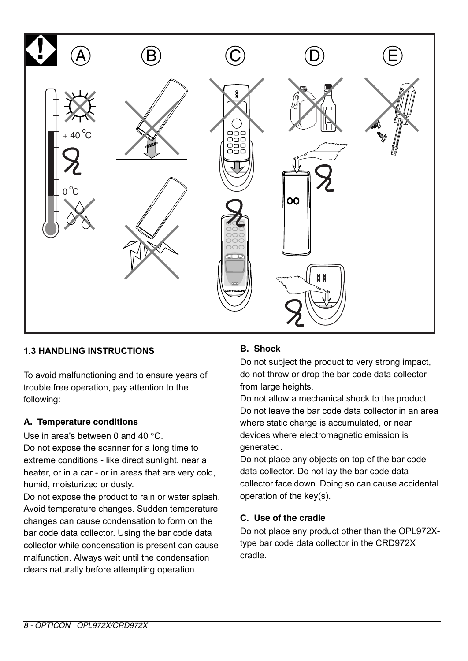

## **1.3 HANDLING INSTRUCTIONS**

To avoid malfunctioning and to ensure years of trouble free operation, pay attention to the following:

#### **A. Temperature conditions**

Use in area's between 0 and 40 °C. Do not expose the scanner for a long time to extreme conditions - like direct sunlight, near a heater, or in a car - or in areas that are very cold, humid, moisturized or dusty.

Do not expose the product to rain or water splash. Avoid temperature changes. Sudden temperature changes can cause condensation to form on the bar code data collector. Using the bar code data collector while condensation is present can cause malfunction. Always wait until the condensation clears naturally before attempting operation.

## **B. Shock**

Do not subject the product to very strong impact, do not throw or drop the bar code data collector from large heights.

Do not allow a mechanical shock to the product. Do not leave the bar code data collector in an area where static charge is accumulated, or near devices where electromagnetic emission is generated.

Do not place any objects on top of the bar code data collector. Do not lay the bar code data collector face down. Doing so can cause accidental operation of the key(s).

## **C. Use of the cradle**

Do not place any product other than the OPL972Xtype bar code data collector in the CRD972X cradle.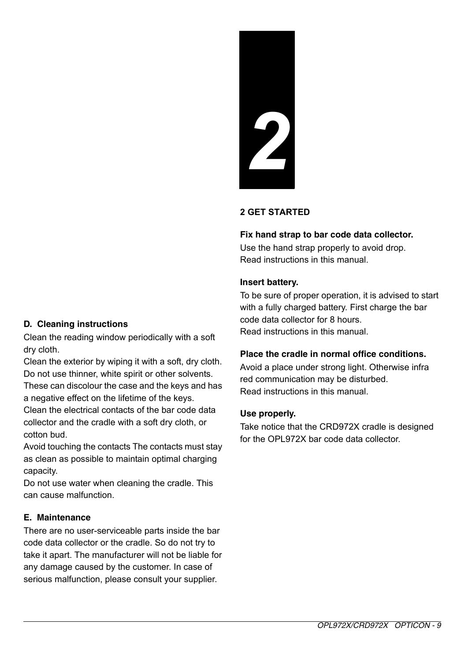# **2 GET STARTED**

*2*

#### **Fix hand strap to bar code data collector.**

Use the hand strap properly to avoid drop. Read instructions in this manual.

#### **Insert battery.**

To be sure of proper operation, it is advised to start with a fully charged battery. First charge the bar code data collector for 8 hours. Read instructions in this manual.

#### **Place the cradle in normal office conditions.**

Avoid a place under strong light. Otherwise infra red communication may be disturbed. Read instructions in this manual.

#### **Use properly.**

Take notice that the CRD972X cradle is designed for the OPL972X bar code data collector.

#### **D. Cleaning instructions**

Clean the reading window periodically with a soft dry cloth.

Clean the exterior by wiping it with a soft, dry cloth. Do not use thinner, white spirit or other solvents. These can discolour the case and the keys and has a negative effect on the lifetime of the keys. Clean the electrical contacts of the bar code data

collector and the cradle with a soft dry cloth, or cotton bud.

Avoid touching the contacts The contacts must stay as clean as possible to maintain optimal charging capacity.

Do not use water when cleaning the cradle. This can cause malfunction.

#### **E. Maintenance**

There are no user-serviceable parts inside the bar code data collector or the cradle. So do not try to take it apart. The manufacturer will not be liable for any damage caused by the customer. In case of serious malfunction, please consult your supplier.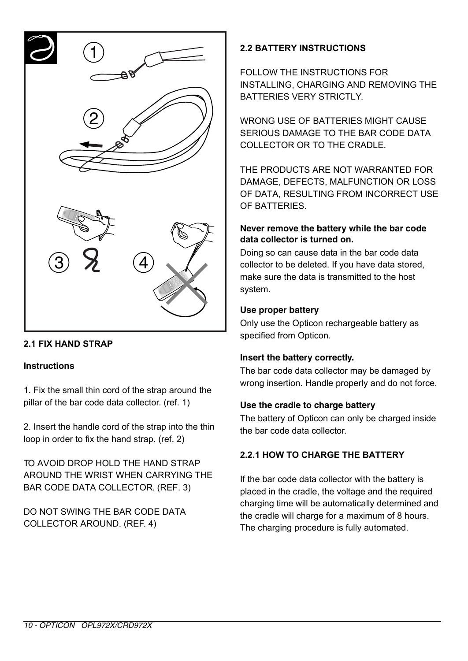

## **2.1 FIX HAND STRAP**

#### **Instructions**

1. Fix the small thin cord of the strap around the pillar of the bar code data collector. (ref. 1)

2. Insert the handle cord of the strap into the thin loop in order to fix the hand strap. (ref. 2)

TO AVOID DROP HOLD THE HAND STRAP AROUND THE WRIST WHEN CARRYING THE BAR CODE DATA COLLECTOR. (REF. 3)

DO NOT SWING THE BAR CODE DATA COLLECTOR AROUND. (REF. 4)

## **2.2 BATTERY INSTRUCTIONS**

FOLLOW THE INSTRUCTIONS FOR INSTALLING, CHARGING AND REMOVING THE BATTERIES VERY STRICTLY

WRONG USE OF BATTERIES MIGHT CAUSE SERIOUS DAMAGE TO THE BAR CODE DATA COLLECTOR OR TO THE CRADLE.

THE PRODUCTS ARE NOT WARRANTED FOR DAMAGE, DEFECTS, MALFUNCTION OR LOSS OF DATA, RESULTING FROM INCORRECT USE OF BATTERIES.

#### **Never remove the battery while the bar code data collector is turned on.**

Doing so can cause data in the bar code data collector to be deleted. If you have data stored, make sure the data is transmitted to the host system.

#### **Use proper battery**

Only use the Opticon rechargeable battery as specified from Opticon.

#### **Insert the battery correctly.**

The bar code data collector may be damaged by wrong insertion. Handle properly and do not force.

#### **Use the cradle to charge battery**

The battery of Opticon can only be charged inside the bar code data collector.

## **2.2.1 HOW TO CHARGE THE BATTERY**

If the bar code data collector with the battery is placed in the cradle, the voltage and the required charging time will be automatically determined and the cradle will charge for a maximum of 8 hours. The charging procedure is fully automated.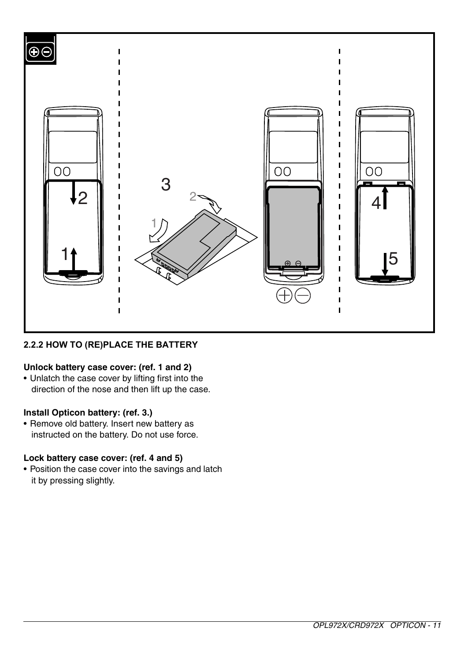

## **2.2.2 HOW TO (RE)PLACE THE BATTERY**

## **Unlock battery case cover: (ref. 1 and 2)**

• Unlatch the case cover by lifting first into the direction of the nose and then lift up the case.

## **Install Opticon battery: (ref. 3.)**

• Remove old battery. Insert new battery as instructed on the battery. Do not use force.

## **Lock battery case cover: (ref. 4 and 5)**

• Position the case cover into the savings and latch it by pressing slightly.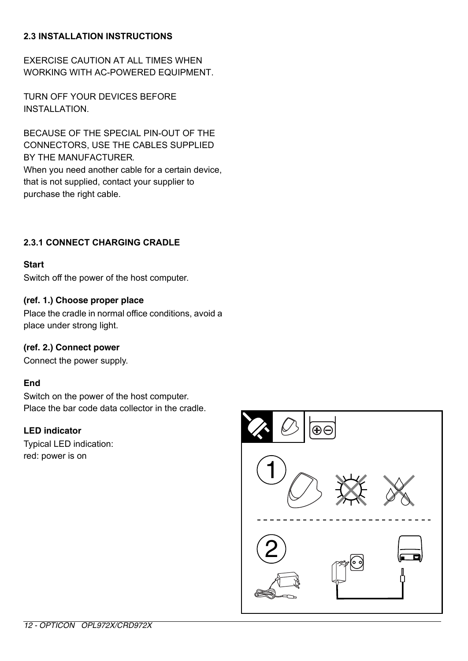## **2.3 INSTALLATION INSTRUCTIONS**

EXERCISE CAUTION AT ALL TIMES WHEN WORKING WITH AC-POWERED EQUIPMENT.

TURN OFF YOUR DEVICES BEFORE INSTALLATION

BECAUSE OF THE SPECIAL PIN-OUT OF THE CONNECTORS, USE THE CABLES SUPPLIED BY THE MANUFACTURER. When you need another cable for a certain device. that is not supplied, contact your supplier to purchase the right cable.

## **2.3.1 CONNECT CHARGING CRADLE**

#### **Start**

Switch off the power of the host computer.

#### **(ref. 1.) Choose proper place**

Place the cradle in normal office conditions, avoid a place under strong light.

#### **(ref. 2.) Connect power**

Connect the power supply.

#### **End**

Switch on the power of the host computer. Place the bar code data collector in the cradle.

#### **LED indicator**

Typical LED indication: red: power is on

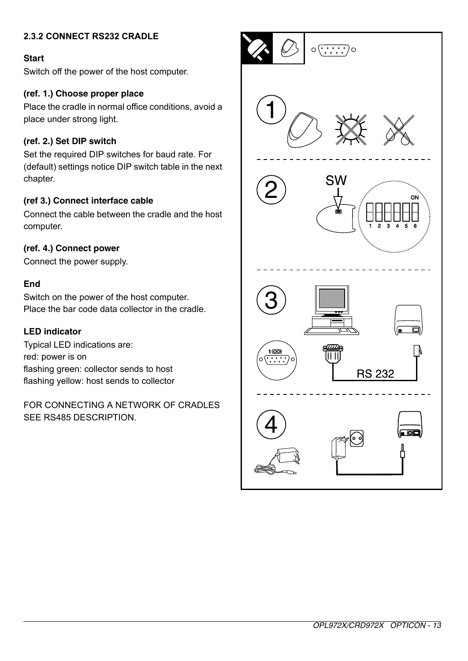## **2.3.2 CONNECT RS232 CRADLE**

#### **Start**

Switch off the power of the host computer.

#### **(ref. 1.) Choose proper place**

Place the cradle in normal office conditions, avoid a place under strong light.

#### **(ref. 2.) Set DIP switch**

Set the required DIP switches for baud rate. For (default) settings notice DIP switch table in the next chapter.

#### **(ref 3.) Connect interface cable**

Connect the cable between the cradle and the host computer.

#### **(ref. 4.) Connect power**

Connect the power supply.

#### **End**

Switch on the power of the host computer. Place the bar code data collector in the cradle.

#### **LED indicator**

Typical LED indications are: red: power is on flashing green: collector sends to host flashing yellow: host sends to collector

FOR CONNECTING A NETWORK OF CRADLES SEE RS485 DESCRIPTION.

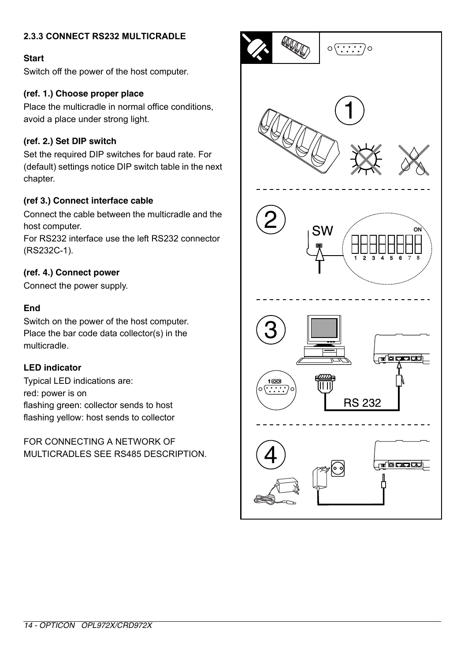## **2.3.3 CONNECT RS232 MULTICRADLE**

#### **Start**

Switch off the power of the host computer.

#### **(ref. 1.) Choose proper place**

Place the multicradle in normal office conditions, avoid a place under strong light.

## **(ref. 2.) Set DIP switch**

Set the required DIP switches for baud rate. For (default) settings notice DIP switch table in the next chapter.

#### **(ref 3.) Connect interface cable**

Connect the cable between the multicradle and the host computer.

For RS232 interface use the left RS232 connector (RS232C-1).

#### **(ref. 4.) Connect power**

Connect the power supply.

## **End**

Switch on the power of the host computer. Place the bar code data collector(s) in the multicradle.

#### **LED indicator**

Typical LED indications are: red: power is on flashing green: collector sends to host flashing yellow: host sends to collector

FOR CONNECTING A NETWORK OF MULTICRADLES SEE RS485 DESCRIPTION.

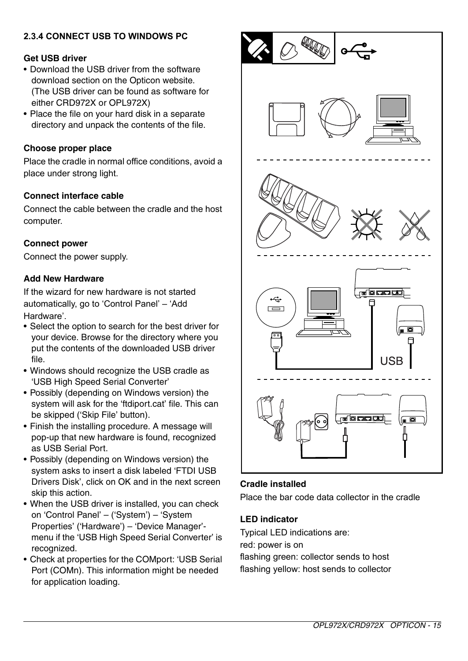## **2.3.4 CONNECT USB TO WINDOWS PC**

#### **Get USB driver**

- Download the USB driver from the software download section on the Opticon website. (The USB driver can be found as software for either CRD972X or OPL972X)
- Place the file on your hard disk in a separate directory and unpack the contents of the file.

#### **Choose proper place**

Place the cradle in normal office conditions, avoid a place under strong light.

#### **Connect interface cable**

Connect the cable between the cradle and the host computer.

#### **Connect power**

Connect the power supply.

#### **Add New Hardware**

If the wizard for new hardware is not started automatically, go to 'Control Panel' – 'Add Hardware'.

- Select the option to search for the best driver for your device. Browse for the directory where you put the contents of the downloaded USB driver file.
- Windows should recognize the USB cradle as 'USB High Speed Serial Converter'
- Possibly (depending on Windows version) the system will ask for the 'ftdiport.cat' file. This can be skipped ('Skip File' button).
- Finish the installing procedure. A message will pop-up that new hardware is found, recognized as USB Serial Port.
- Possibly (depending on Windows version) the system asks to insert a disk labeled 'FTDI USB Drivers Disk', click on OK and in the next screen skip this action.
- When the USB driver is installed, you can check on 'Control Panel' – ('System') – 'System Properties' ('Hardware') – 'Device Manager' menu if the 'USB High Speed Serial Converter' is recognized.
- Check at properties for the COMport: 'USB Serial Port (COMn). This information might be needed for application loading.



#### **Cradle installed**

Place the bar code data collector in the cradle

#### **LED indicator**

Typical LED indications are: red: power is on flashing green: collector sends to host flashing yellow: host sends to collector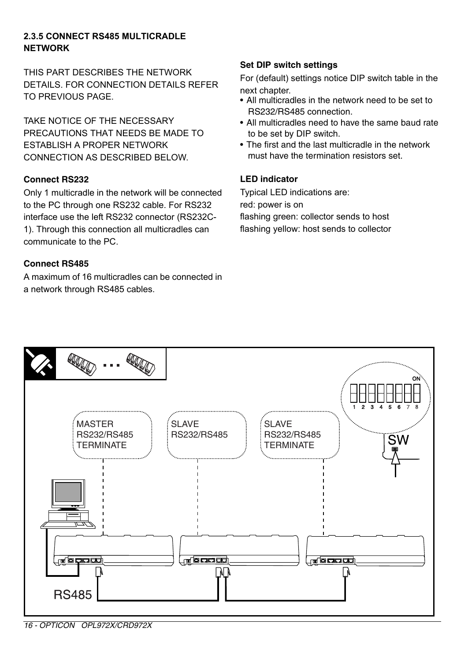## **2.3.5 CONNECT RS485 MULTICRADLE NETWORK**

THIS PART DESCRIBES THE NETWORK DETAILS. FOR CONNECTION DETAILS REFER TO PREVIOUS PAGE.

TAKE NOTICE OF THE NECESSARY PRECAUTIONS THAT NEEDS BE MADE TO ESTABLISH A PROPER NETWORK CONNECTION AS DESCRIBED BELOW.

#### **Connect RS232**

Only 1 multicradle in the network will be connected to the PC through one RS232 cable. For RS232 interface use the left RS232 connector (RS232C-1). Through this connection all multicradles can communicate to the PC.

## **Connect RS485**

A maximum of 16 multicradles can be connected in a network through RS485 cables.

## **Set DIP switch settings**

For (default) settings notice DIP switch table in the next chapter.

- All multicradles in the network need to be set to RS232/RS485 connection.
- All multicradles need to have the same baud rate to be set by DIP switch.
- The first and the last multicradle in the network must have the termination resistors set.

## **LED indicator**

Typical LED indications are: red: power is on flashing green: collector sends to host flashing yellow: host sends to collector



*16 - OPTICON OPL972X/CRD972X*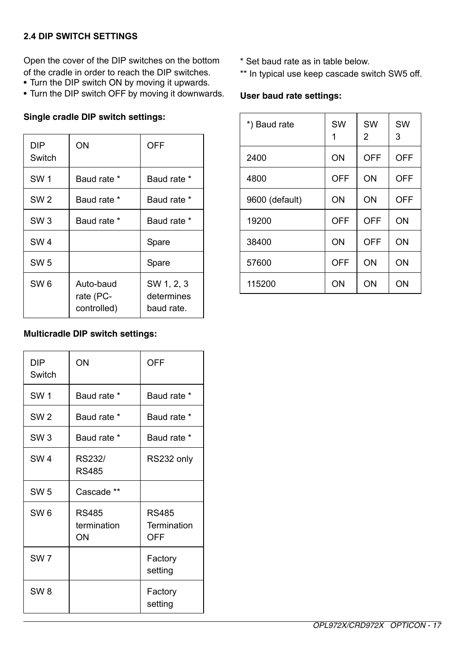## **2.4 DIP SWITCH SETTINGS**

Open the cover of the DIP switches on the bottom of the cradle in order to reach the DIP switches.

- Turn the DIP switch ON by moving it upwards.
- Turn the DIP switch OFF by moving it downwards.

#### **Single cradle DIP switch settings:**

| DIP<br>Switch   | OΝ                                    | OFF                                    |
|-----------------|---------------------------------------|----------------------------------------|
| SW <sub>1</sub> | Baud rate *                           | Baud rate *                            |
| SW <sub>2</sub> | Baud rate *                           | Baud rate *                            |
| SW <sub>3</sub> | Baud rate *                           | Baud rate *                            |
| SW <sub>4</sub> |                                       | Spare                                  |
| SW <sub>5</sub> |                                       | Spare                                  |
| SW <sub>6</sub> | Auto-baud<br>rate (PC-<br>controlled) | SW 1, 2, 3<br>determines<br>baud rate. |

## **Multicradle DIP switch settings:**

| DIP<br>Switch   | ON                                | <b>OFF</b>                         |
|-----------------|-----------------------------------|------------------------------------|
| SW <sub>1</sub> | Baud rate *                       | Baud rate *                        |
| SW <sub>2</sub> | Baud rate *                       | Baud rate *                        |
| SW <sub>3</sub> | Baud rate *                       | Baud rate *                        |
| SW <sub>4</sub> | RS232/<br><b>RS485</b>            | RS232 only                         |
| SW <sub>5</sub> | Cascade **                        |                                    |
| SW <sub>6</sub> | <b>RS485</b><br>termination<br>ΟN | <b>RS485</b><br>Termination<br>OFF |
| SW <sub>7</sub> |                                   | Factory<br>setting                 |
| SW <sub>8</sub> |                                   | Factory<br>setting                 |

- \* Set baud rate as in table below.
- \*\* In typical use keep cascade switch SW5 off.

## **User baud rate settings:**

| *) Baud rate   | SW  | SW<br>2 | SW<br>3 |
|----------------|-----|---------|---------|
| 2400           | ON  | OFF     | OFF     |
| 4800           | OFF | ON      | OFF     |
| 9600 (default) | ON  | ON      | OFF     |
| 19200          | OFF | OFF     | ON      |
| 38400          | ON  | OFF     | ON      |
| 57600          | OFF | ON      | ON      |
| 115200         | ON  | ON      | ON      |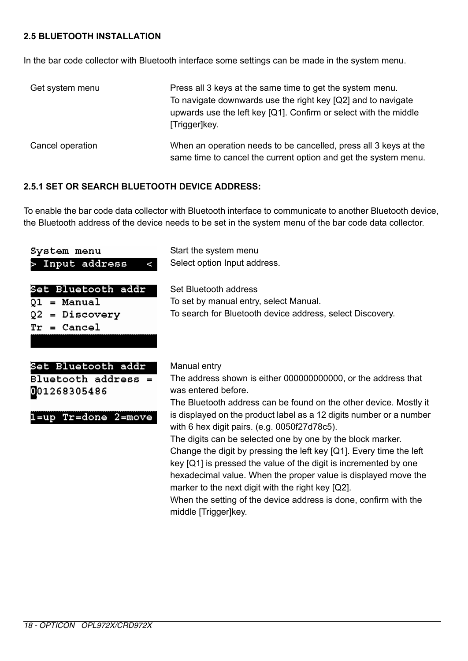## **2.5 BLUETOOTH INSTALLATION**

In the bar code collector with Bluetooth interface some settings can be made in the system menu.

| Get system menu  | Press all 3 keys at the same time to get the system menu.<br>To navigate downwards use the right key [Q2] and to navigate<br>upwards use the left key [Q1]. Confirm or select with the middle<br>[Trigger]key. |
|------------------|----------------------------------------------------------------------------------------------------------------------------------------------------------------------------------------------------------------|
| Cancel operation | When an operation needs to be cancelled, press all 3 keys at the<br>same time to cancel the current option and get the system menu.                                                                            |

#### **2.5.1 SET OR SEARCH BLUETOOTH DEVICE ADDRESS:**

To enable the bar code data collector with Bluetooth interface to communicate to another Bluetooth device, the Bluetooth address of the device needs to be set in the system menu of the bar code data collector.

| System menu<br>Input address<br>۸                                                  | Start the system menu<br>Select option Input address.                                                                                                                                                                                                                                                                                                                                                                                                                                                                                                                                                                                                                                                                           |
|------------------------------------------------------------------------------------|---------------------------------------------------------------------------------------------------------------------------------------------------------------------------------------------------------------------------------------------------------------------------------------------------------------------------------------------------------------------------------------------------------------------------------------------------------------------------------------------------------------------------------------------------------------------------------------------------------------------------------------------------------------------------------------------------------------------------------|
| Set Bluetooth addr<br>= Manual<br>Q1<br>= Discovery<br>02<br>= Cancel<br>Tr        | Set Bluetooth address<br>To set by manual entry, select Manual.<br>To search for Bluetooth device address, select Discovery.                                                                                                                                                                                                                                                                                                                                                                                                                                                                                                                                                                                                    |
| Set Bluetooth addr<br>$Bluetooth address =$<br>001268305486<br>1=up Tr=done 2=move | Manual entry<br>The address shown is either 000000000000. or the address that<br>was entered before.<br>The Bluetooth address can be found on the other device. Mostly it<br>is displayed on the product label as a 12 digits number or a number<br>with 6 hex digit pairs. (e.g. 0050f27d78c5).<br>The digits can be selected one by one by the block marker.<br>Change the digit by pressing the left key $[Q1]$ . Every time the left<br>key [Q1] is pressed the value of the digit is incremented by one<br>hexadecimal value. When the proper value is displayed move the<br>marker to the next digit with the right key [Q2].<br>When the setting of the device address is done, confirm with the<br>middle [Trigger]key. |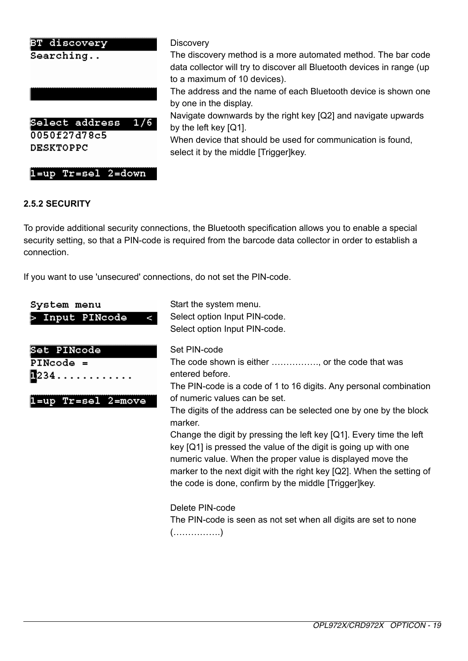#### **BT discover**

 $Searching.$ .



 $1 = up$  Tr=sel  $2 = down$ 

#### **Discovery**

The discovery method is a more automated method. The bar code data collector will try to discover all Bluetooth devices in range (up to a maximum of 10 devices).

The address and the name of each Bluetooth device is shown one by one in the display.

Navigate downwards by the right key [Q2] and navigate upwards by the left key [Q1].

When device that should be used for communication is found, select it by the middle [Trigger]key.

#### **2.5.2 SECURITY**

To provide additional security connections, the Bluetooth specification allows you to enable a special security setting, so that a PIN-code is required from the barcode data collector in order to establish a connection.

If you want to use 'unsecured' connections, do not set the PIN-code.

 $\prec$ 

System menu > Input PINcode

| Set PINcode |  |
|-------------|--|

PINcode = **π**234...

1=up Tr=sel 2=move Start the system menu. Select option Input PIN-code. Select option Input PIN-code.

#### Set PIN-code

The code shown is either ……………., or the code that was entered before.

The PIN-code is a code of 1 to 16 digits. Any personal combination of numeric values can be set.

The digits of the address can be selected one by one by the block marker.

Change the digit by pressing the left key [Q1]. Every time the left key [Q1] is pressed the value of the digit is going up with one numeric value. When the proper value is displayed move the marker to the next digit with the right key [Q2]. When the setting of the code is done, confirm by the middle [Trigger]key.

Delete PIN-code The PIN-code is seen as not set when all digits are set to none (…………….)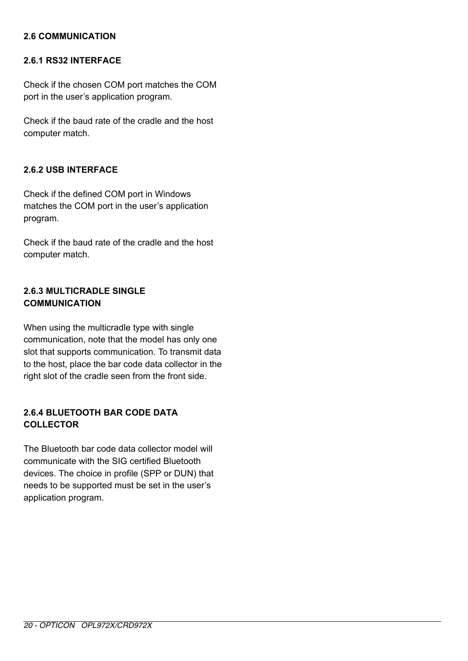## **2.6 COMMUNICATION**

#### **2.6.1 RS32 INTERFACE**

Check if the chosen COM port matches the COM port in the user's application program.

Check if the baud rate of the cradle and the host computer match.

## **2.6.2 USB INTERFACE**

Check if the defined COM port in Windows matches the COM port in the user's application program.

Check if the baud rate of the cradle and the host computer match.

## **2.6.3 MULTICRADLE SINGLE COMMUNICATION**

When using the multicradle type with single communication, note that the model has only one slot that supports communication. To transmit data to the host, place the bar code data collector in the right slot of the cradle seen from the front side.

## **2.6.4 BLUETOOTH BAR CODE DATA COLLECTOR**

The Bluetooth bar code data collector model will communicate with the SIG certified Bluetooth devices. The choice in profile (SPP or DUN) that needs to be supported must be set in the user's application program.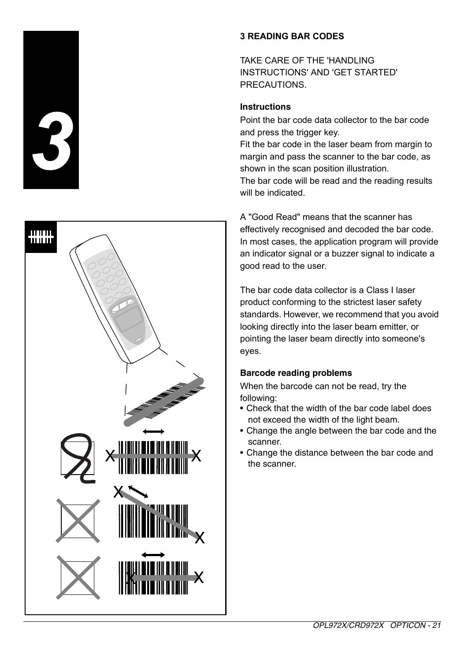



## **3 READING BAR CODES**

TAKE CARE OF THE 'HANDLING INSTRUCTIONS' AND 'GET STARTED' PRECAUTIONS.

## **Instructions**

Point the bar code data collector to the bar code and press the trigger key.

Fit the bar code in the laser beam from margin to margin and pass the scanner to the bar code, as shown in the scan position illustration.

The bar code will be read and the reading results will be indicated.

A "Good Read" means that the scanner has effectively recognised and decoded the bar code. In most cases, the application program will provide an indicator signal or a buzzer signal to indicate a good read to the user.

The bar code data collector is a Class I laser product conforming to the strictest laser safety standards. However, we recommend that you avoid looking directly into the laser beam emitter, or pointing the laser beam directly into someone's eyes.

## **Barcode reading problems**

When the barcode can not be read, try the following:

- Check that the width of the bar code label does not exceed the width of the light beam.
- Change the angle between the bar code and the scanner.
- Change the distance between the bar code and the scanner.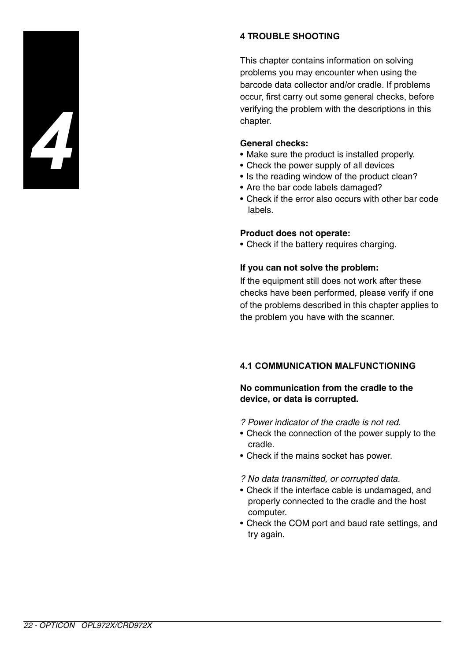

## **4 TROUBLE SHOOTING**

This chapter contains information on solving problems you may encounter when using the barcode data collector and/or cradle. If problems occur, first carry out some general checks, before verifying the problem with the descriptions in this chapter.

#### **General checks:**

- Make sure the product is installed properly.
- Check the power supply of all devices
- Is the reading window of the product clean?
- Are the bar code labels damaged?
- Check if the error also occurs with other bar code labels.

#### **Product does not operate:**

• Check if the battery requires charging.

#### **If you can not solve the problem:**

If the equipment still does not work after these checks have been performed, please verify if one of the problems described in this chapter applies to the problem you have with the scanner.

## **4.1 COMMUNICATION MALFUNCTIONING**

#### **No communication from the cradle to the device, or data is corrupted.**

- *? Power indicator of the cradle is not red.*
- Check the connection of the power supply to the cradle.
- Check if the mains socket has power.
- *? No data transmitted, or corrupted data.*
- Check if the interface cable is undamaged, and properly connected to the cradle and the host computer.
- Check the COM port and baud rate settings, and try again.